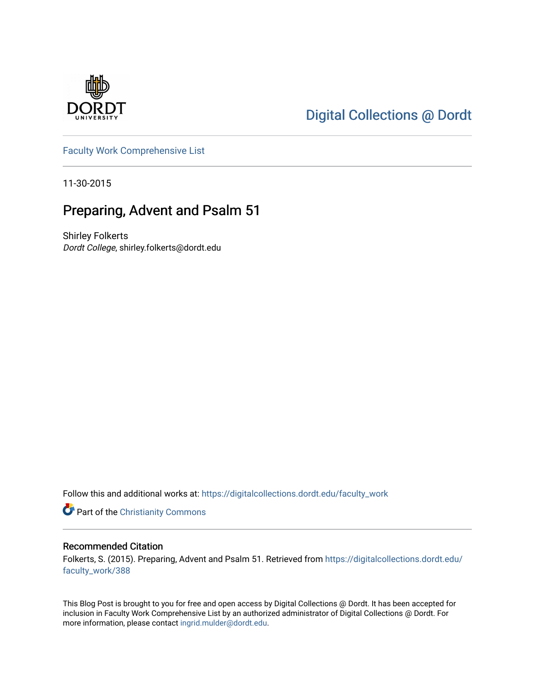

## [Digital Collections @ Dordt](https://digitalcollections.dordt.edu/)

[Faculty Work Comprehensive List](https://digitalcollections.dordt.edu/faculty_work)

11-30-2015

## Preparing, Advent and Psalm 51

Shirley Folkerts Dordt College, shirley.folkerts@dordt.edu

Follow this and additional works at: [https://digitalcollections.dordt.edu/faculty\\_work](https://digitalcollections.dordt.edu/faculty_work?utm_source=digitalcollections.dordt.edu%2Ffaculty_work%2F388&utm_medium=PDF&utm_campaign=PDFCoverPages) 

Part of the [Christianity Commons](http://network.bepress.com/hgg/discipline/1181?utm_source=digitalcollections.dordt.edu%2Ffaculty_work%2F388&utm_medium=PDF&utm_campaign=PDFCoverPages) 

#### Recommended Citation

Folkerts, S. (2015). Preparing, Advent and Psalm 51. Retrieved from [https://digitalcollections.dordt.edu/](https://digitalcollections.dordt.edu/faculty_work/388?utm_source=digitalcollections.dordt.edu%2Ffaculty_work%2F388&utm_medium=PDF&utm_campaign=PDFCoverPages) [faculty\\_work/388](https://digitalcollections.dordt.edu/faculty_work/388?utm_source=digitalcollections.dordt.edu%2Ffaculty_work%2F388&utm_medium=PDF&utm_campaign=PDFCoverPages)

This Blog Post is brought to you for free and open access by Digital Collections @ Dordt. It has been accepted for inclusion in Faculty Work Comprehensive List by an authorized administrator of Digital Collections @ Dordt. For more information, please contact [ingrid.mulder@dordt.edu.](mailto:ingrid.mulder@dordt.edu)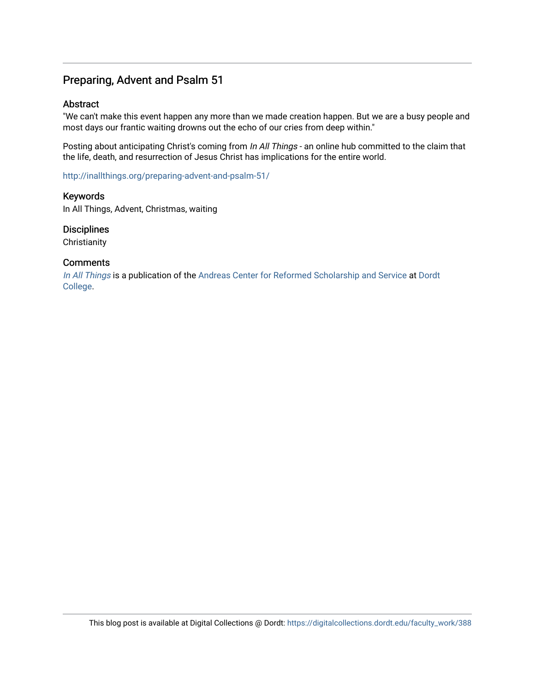### Preparing, Advent and Psalm 51

#### Abstract

"We can't make this event happen any more than we made creation happen. But we are a busy people and most days our frantic waiting drowns out the echo of our cries from deep within."

Posting about anticipating Christ's coming from In All Things - an online hub committed to the claim that the life, death, and resurrection of Jesus Christ has implications for the entire world.

<http://inallthings.org/preparing-advent-and-psalm-51/>

Keywords In All Things, Advent, Christmas, waiting

**Disciplines** 

**Christianity** 

#### **Comments**

[In All Things](http://inallthings.org/) is a publication of the [Andreas Center for Reformed Scholarship and Service](http://www.dordt.edu/services_support/andreas_center/) at Dordt [College](http://www.dordt.edu/).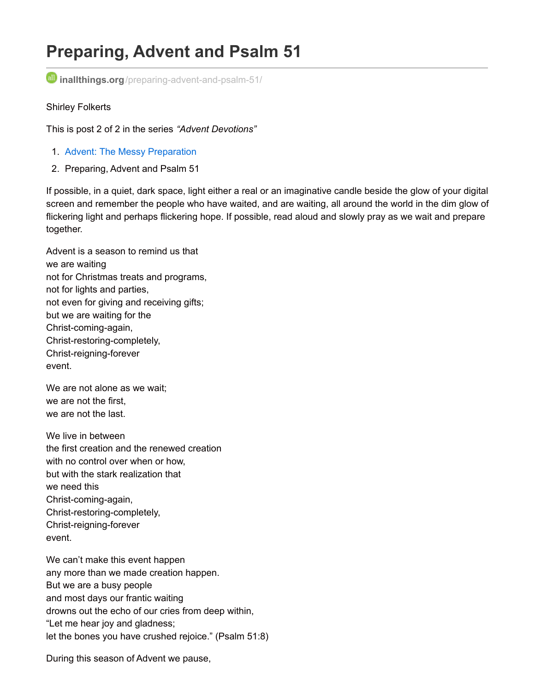# **Preparing, Advent and Psalm 51**

**inallthings.org**[/preparing-advent-and-psalm-51/](http://inallthings.org/preparing-advent-and-psalm-51/)

#### Shirley Folkerts

This is post 2 of 2 in the series *"Advent Devotions"*

- 1. Advent: The Messy [Preparation](http://inallthings.org/advent-the-messy-preparation/)
- 2. Preparing, Advent and Psalm 51

If possible, in a quiet, dark space, light either a real or an imaginative candle beside the glow of your digital screen and remember the people who have waited, and are waiting, all around the world in the dim glow of flickering light and perhaps flickering hope. If possible, read aloud and slowly pray as we wait and prepare together.

Advent is a season to remind us that we are waiting not for Christmas treats and programs, not for lights and parties, not even for giving and receiving gifts; but we are waiting for the Christ-coming-again, Christ-restoring-completely, Christ-reigning-forever event.

We are not alone as we wait; we are not the first, we are not the last.

We live in between the first creation and the renewed creation with no control over when or how, but with the stark realization that we need this Christ-coming-again, Christ-restoring-completely, Christ-reigning-forever event.

We can't make this event happen any more than we made creation happen. But we are a busy people and most days our frantic waiting drowns out the echo of our cries from deep within, "Let me hear joy and gladness; let the bones you have crushed rejoice." (Psalm 51:8)

During this season of Advent we pause,